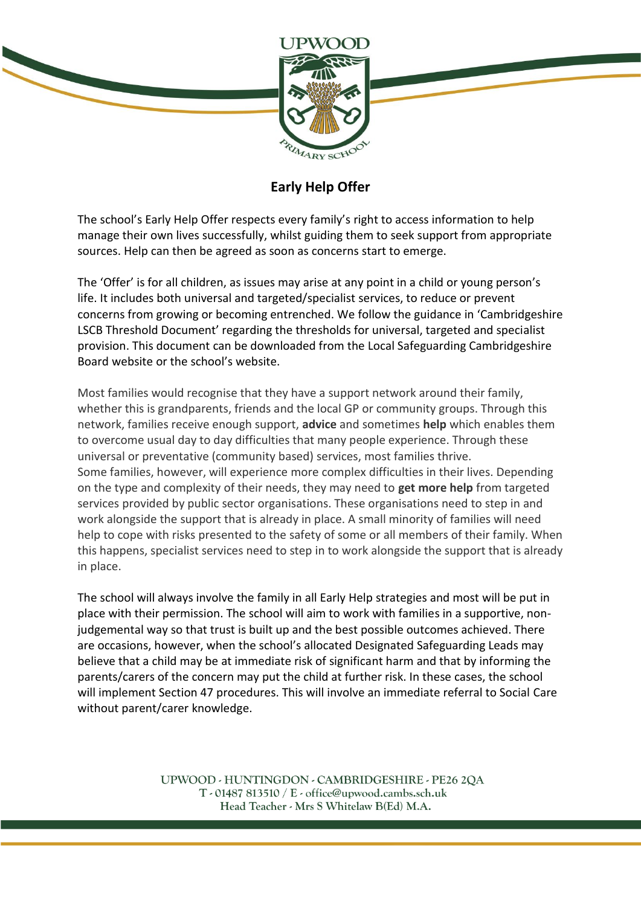

## **Early Help Offer**

The school's Early Help Offer respects every family's right to access information to help manage their own lives successfully, whilst guiding them to seek support from appropriate sources. Help can then be agreed as soon as concerns start to emerge.

The 'Offer' is for all children, as issues may arise at any point in a child or young person's life. It includes both universal and targeted/specialist services, to reduce or prevent concerns from growing or becoming entrenched. We follow the guidance in 'Cambridgeshire LSCB Threshold Document' regarding the thresholds for universal, targeted and specialist provision. This document can be downloaded from the Local Safeguarding Cambridgeshire Board website or the school's website.

Most families would recognise that they have a support network around their family, whether this is grandparents, friends and the local GP or community groups. Through this network, families receive enough support, **advice** and sometimes **help** which enables them to overcome usual day to day difficulties that many people experience. Through these universal or preventative (community based) services, most families thrive. Some families, however, will experience more complex difficulties in their lives. Depending on the type and complexity of their needs, they may need to **get more help** from targeted services provided by public sector organisations. These organisations need to step in and work alongside the support that is already in place. A small minority of families will need help to cope with risks presented to the safety of some or all members of their family. When this happens, specialist services need to step in to work alongside the support that is already in place.

The school will always involve the family in all Early Help strategies and most will be put in place with their permission. The school will aim to work with families in a supportive, nonjudgemental way so that trust is built up and the best possible outcomes achieved. There are occasions, however, when the school's allocated Designated Safeguarding Leads may believe that a child may be at immediate risk of significant harm and that by informing the parents/carers of the concern may put the child at further risk. In these cases, the school will implement Section 47 procedures. This will involve an immediate referral to Social Care without parent/carer knowledge.

> UPWOOD - HUNTINGDON - CAMBRIDGESHIRE - PE26 2QA  $T - 01487813510 / E - 0$  office@upwood.cambs.sch.uk Head Teacher - Mrs S Whitelaw B(Ed) M.A.